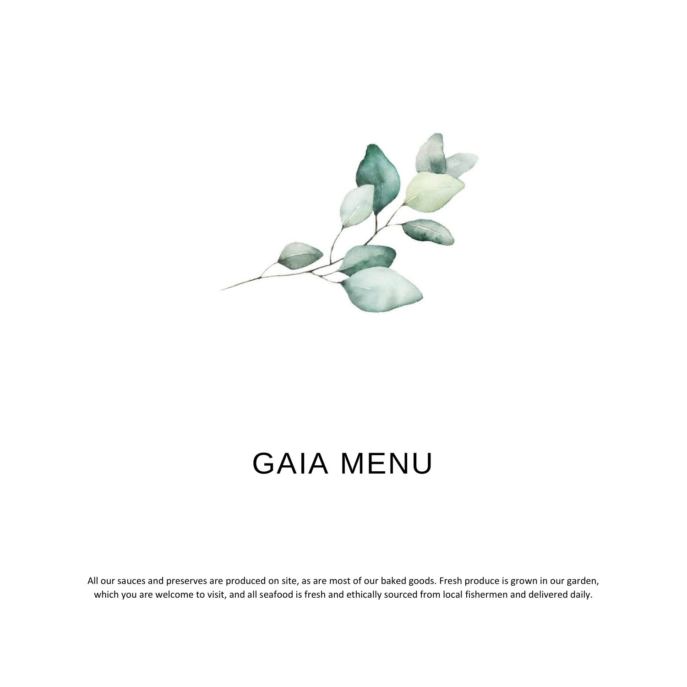

# GAIA MENU

All our sauces and preserves are produced on site, as are most of our baked goods. Fresh produce is grown in our garden, which you are welcome to visit, and all seafood is fresh and ethically sourced from local fishermen and delivered daily.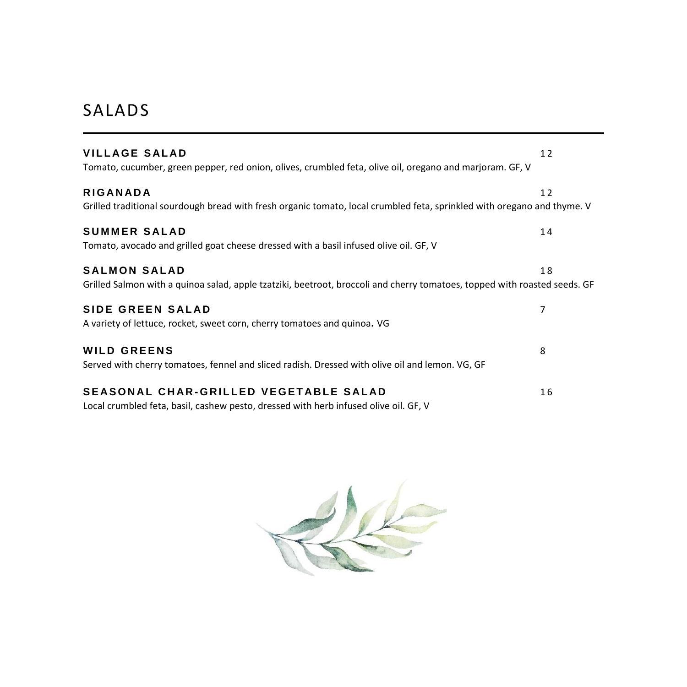# SALADS

| <b>VILLAGE SALAD</b><br>Tomato, cucumber, green pepper, red onion, olives, crumbled feta, olive oil, oregano and marjoram. GF, V                 | 12 |
|--------------------------------------------------------------------------------------------------------------------------------------------------|----|
| <b>RIGANADA</b><br>Grilled traditional sourdough bread with fresh organic tomato, local crumbled feta, sprinkled with oregano and thyme. V       | 12 |
| <b>SUMMER SALAD</b><br>Tomato, avocado and grilled goat cheese dressed with a basil infused olive oil. GF, V                                     | 14 |
| <b>SALMON SALAD</b><br>Grilled Salmon with a quinoa salad, apple tzatziki, beetroot, broccoli and cherry tomatoes, topped with roasted seeds. GF | 18 |
| <b>SIDE GREEN SALAD</b><br>A variety of lettuce, rocket, sweet corn, cherry tomatoes and quinoa. VG                                              | 7  |
| <b>WILD GREENS</b><br>Served with cherry tomatoes, fennel and sliced radish. Dressed with olive oil and lemon. VG, GF                            | 8  |
| SEASONAL CHAR-GRILLED VEGETABLE SALAD<br>Local crumbled feta, basil, cashew pesto, dressed with herb infused olive oil. GF, V                    | 16 |

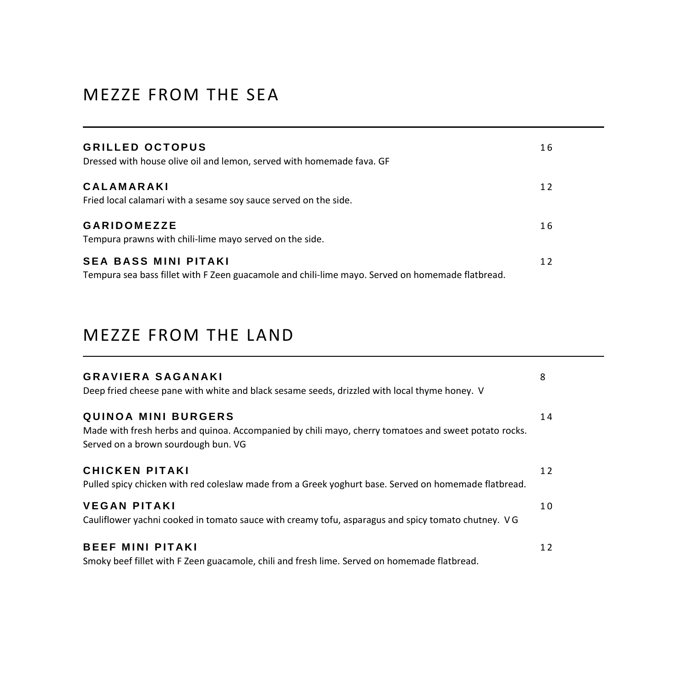# MEZZE FROM THE SEA

| <b>GRILLED OCTOPUS</b><br>Dressed with house olive oil and lemon, served with homemade fava. GF                                 | 16 |
|---------------------------------------------------------------------------------------------------------------------------------|----|
| <b>CALAMARAKI</b><br>Fried local calamari with a sesame soy sauce served on the side.                                           | 12 |
| <b>GARIDOMEZZE</b><br>Tempura prawns with chili-lime mayo served on the side.                                                   | 16 |
| <b>SEA BASS MINI PITAKI</b><br>Tempura sea bass fillet with F Zeen guacamole and chili-lime mayo. Served on homemade flatbread. | 12 |

## MEZZE FROM THE LAND

| <b>GRAVIERA SAGANAKI</b><br>Deep fried cheese pane with white and black sesame seeds, drizzled with local thyme honey. V                                                  | 8  |
|---------------------------------------------------------------------------------------------------------------------------------------------------------------------------|----|
| <b>QUINOA MINI BURGERS</b><br>Made with fresh herbs and quinoa. Accompanied by chili mayo, cherry tomatoes and sweet potato rocks.<br>Served on a brown sourdough bun. VG | 14 |
| <b>CHICKEN PITAKI</b><br>Pulled spicy chicken with red coleslaw made from a Greek yoghurt base. Served on homemade flatbread.                                             | 12 |
| <b>VEGAN PITAKI</b><br>Cauliflower yachni cooked in tomato sauce with creamy tofu, asparagus and spicy tomato chutney. VG                                                 | 10 |
| <b>BEEF MINI PITAKI</b><br>Smoky beef fillet with F Zeen guacamole, chili and fresh lime. Served on homemade flatbread.                                                   | 12 |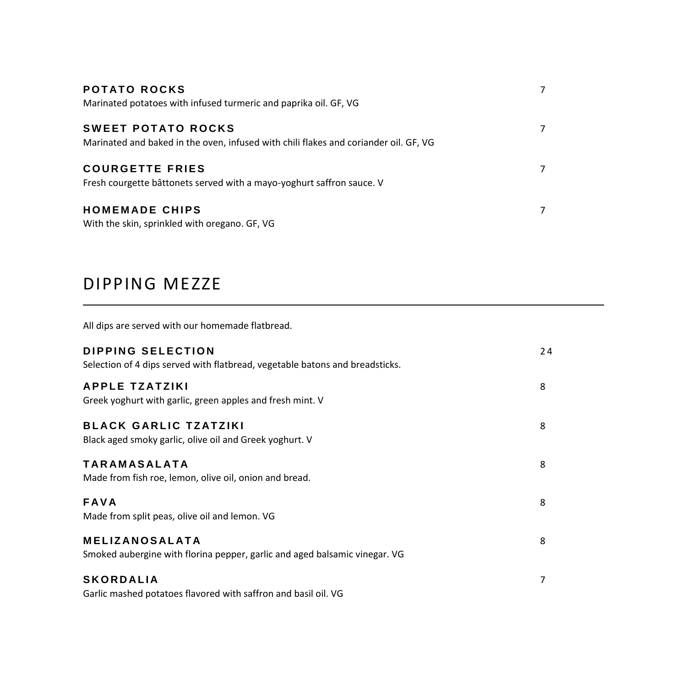| <b>POTATO ROCKS</b><br>Marinated potatoes with infused turmeric and paprika oil. GF, VG                           | 7 |
|-------------------------------------------------------------------------------------------------------------------|---|
| <b>SWEET POTATO ROCKS</b><br>Marinated and baked in the oven, infused with chili flakes and coriander oil. GF, VG | 7 |
| <b>COURGETTE FRIES</b><br>Fresh courgette bâttonets served with a mayo-yoghurt saffron sauce. V                   | 7 |
| <b>HOMEMADE CHIPS</b><br>With the skin, sprinkled with oregano. GF, VG                                            | 7 |

## DIPPING MEZZE

All dips are served with our homemade flatbread.

| <b>DIPPING SELECTION</b><br>Selection of 4 dips served with flatbread, vegetable batons and breadsticks. | 24 |
|----------------------------------------------------------------------------------------------------------|----|
| <b>APPLE TZATZIKI</b><br>Greek yoghurt with garlic, green apples and fresh mint. V                       | 8  |
| <b>BLACK GARLIC TZATZIKI</b><br>Black aged smoky garlic, olive oil and Greek yoghurt. V                  | 8  |
| <b>TARAMASALATA</b><br>Made from fish roe, lemon, olive oil, onion and bread.                            | 8  |
| <b>FAVA</b><br>Made from split peas, olive oil and lemon. VG                                             | 8  |
| <b>MELIZANOSALATA</b><br>Smoked aubergine with florina pepper, garlic and aged balsamic vinegar. VG      | 8  |
| <b>SKORDALIA</b><br>Garlic mashed potatoes flavored with saffron and basil oil. VG                       | 7  |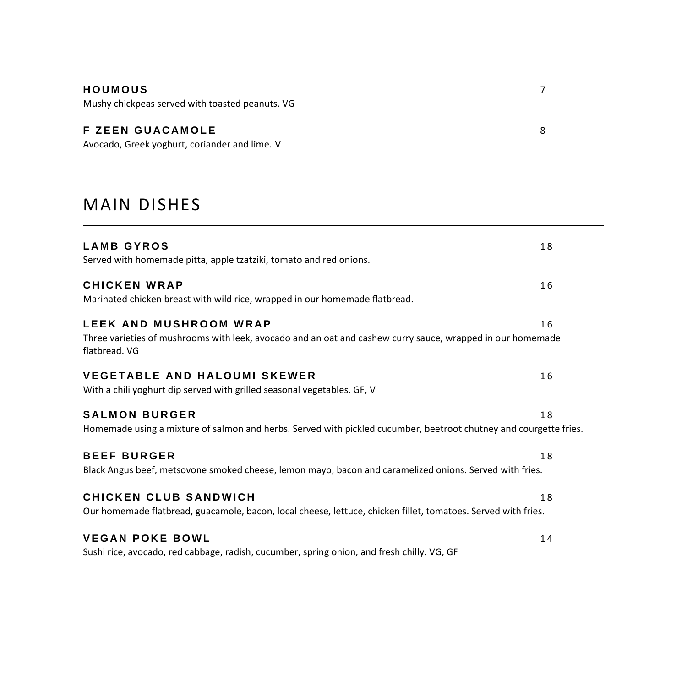#### **HOUMOUS** 7

Mushy chickpeas served with toasted peanuts. VG

#### **F ZEEN GUACAMOLE** 8

Avocado, Greek yoghurt, coriander and lime. V

## MAIN DISHES

| <b>LAMB GYROS</b>                                                                                                           | 18 |
|-----------------------------------------------------------------------------------------------------------------------------|----|
| Served with homemade pitta, apple tzatziki, tomato and red onions.                                                          |    |
| <b>CHICKEN WRAP</b>                                                                                                         | 16 |
| Marinated chicken breast with wild rice, wrapped in our homemade flatbread.                                                 |    |
| LEEK AND MUSHROOM WRAP                                                                                                      | 16 |
| Three varieties of mushrooms with leek, avocado and an oat and cashew curry sauce, wrapped in our homemade<br>flatbread. VG |    |
| <b>VEGETABLE AND HALOUMI SKEWER</b>                                                                                         | 16 |
| With a chili yoghurt dip served with grilled seasonal vegetables. GF, V                                                     |    |
| <b>SALMON BURGER</b>                                                                                                        | 18 |
| Homemade using a mixture of salmon and herbs. Served with pickled cucumber, beetroot chutney and courgette fries.           |    |
| <b>BEEF BURGER</b>                                                                                                          | 18 |
| Black Angus beef, metsovone smoked cheese, lemon mayo, bacon and caramelized onions. Served with fries.                     |    |
| <b>CHICKEN CLUB SANDWICH</b>                                                                                                | 18 |
| Our homemade flatbread, guacamole, bacon, local cheese, lettuce, chicken fillet, tomatoes. Served with fries.               |    |
| <b>VEGAN POKE BOWL</b>                                                                                                      | 14 |
| Sushi rice, avocado, red cabbage, radish, cucumber, spring onion, and fresh chilly. VG, GF                                  |    |